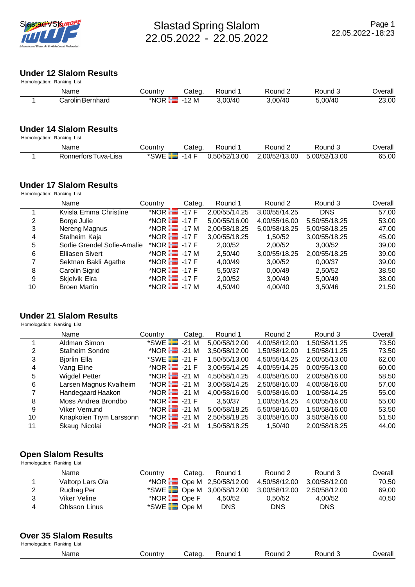

# **Under 12 Slalom Results**

| Homologation: Ranking List |         |                          |         |         |         |         |
|----------------------------|---------|--------------------------|---------|---------|---------|---------|
| Name                       | Country | Cateɑ.                   | Round 1 | Round 2 | Round 3 | Overall |
| Carolin Bernhard           |         | *NOR $\frac{1}{1}$ -12 M | 3.00/40 | 3.00/40 | 5.00/40 | 23,00   |

# **Under 14 Slalom Results**

| Homologation: Ranking List |  |  |
|----------------------------|--|--|
|----------------------------|--|--|

| Name                 | Country                             | Cateɑ | Round 1 | Round 2                     | Round 3       | ⊃verall |
|----------------------|-------------------------------------|-------|---------|-----------------------------|---------------|---------|
| Ronnerfors Tuva-Lisa | $*$ SWE $\boxed{\phantom{1}}$ -14 F |       |         | 0,50/52/13.00 2,00/52/13.00 | 5.00/52/13.00 | 65,00   |

### **Under 17 Slalom Results**

Homologation: Ranking List

|    | Name                        | Country                   | Categ. | Round 1       | Round 2       | Round 3       | Overall |
|----|-----------------------------|---------------------------|--------|---------------|---------------|---------------|---------|
|    | Kvisla Emma Christine       | *NOR $\frac{1}{1}$ -17 F  |        | 2,00/55/14.25 | 3,00/55/14.25 | <b>DNS</b>    | 57,00   |
| 2  | Borge Julie                 | *NOR $\mathbf{H}$ -17 F   |        | 5,00/55/16.00 | 4,00/55/16.00 | 5,50/55/18.25 | 53,00   |
| 3  | Nereng Magnus               | *NOR $\frac{1}{1}$ -17 M  |        | 2,00/58/18.25 | 5,00/58/18.25 | 5,00/58/18.25 | 47,00   |
| 4  | Stalheim Kaja               | *NOR $\blacksquare$ -17 F |        | 3,00/55/18.25 | 1,50/52       | 3,00/55/18.25 | 45,00   |
| 5  | Sorlie Grendel Sofie-Amalie | *NOR $\equiv$ -17 F       |        | 2.00/52       | 2.00/52       | 3.00/52       | 39,00   |
| 6  | Elliasen Sivert             | *NOR $\frac{1}{1}$ -17 M  |        | 2.50/40       | 3,00/55/18.25 | 2,00/55/18.25 | 39,00   |
|    | Sektnan Bakli Agathe        | *NOR $\blacksquare$ -17 F |        | 4.00/49       | 3,00/52       | 0,00/37       | 39,00   |
| 8  | Carolin Sigrid              | *NOR $\blacksquare$ -17 F |        | 5,50/37       | 0.00/49       | 2.50/52       | 38,50   |
| 9  | Skjelvik Eira               | *NOR $\blacksquare$ -17 F |        | 2,00/52       | 3.00/49       | 5.00/49       | 38,00   |
| 10 | <b>Broen Martin</b>         | *NOR $\frac{1}{12}$ -17 M |        | 4,50/40       | 4,00/40       | 3.50/46       | 21,50   |

#### **Under 21 Slalom Results**

Homologation: Ranking List

|    | Name                    | Country                   | Categ. | Round 1       | Round 2       | Round 3       | Overall |
|----|-------------------------|---------------------------|--------|---------------|---------------|---------------|---------|
|    | Aldman Simon            | $*$ SWE $\Box$ -21 M      |        | 5,00/58/12.00 | 4,00/58/12.00 | 1,50/58/11.25 | 73,50   |
| 2  | <b>Stalheim Sondre</b>  | *NOR $\frac{1}{12}$ -21 M |        | 3,50/58/12.00 | 1,50/58/12.00 | 1,50/58/11.25 | 73,50   |
| 3  | <b>Bjorlin Ella</b>     | $*$ SWE $\Box$ -21 F      |        | 1,50/55/13.00 | 4,50/55/14.25 | 2,00/55/13.00 | 62,00   |
| 4  | Vang Eline              | *NOR $\blacksquare$ -21 F |        | 3,00/55/14.25 | 4,00/55/14.25 | 0,00/55/13.00 | 60,00   |
| 5  | <b>Wigdel Petter</b>    | *NOR $\blacksquare$ -21 M |        | 4,50/58/14.25 | 4,00/58/16.00 | 2,00/58/16.00 | 58,50   |
| 6  | Larsen Magnus Kvalheim  | *NOR $\frac{1}{1}$ -21 M  |        | 3,00/58/14.25 | 2,50/58/16.00 | 4,00/58/16.00 | 57,00   |
| 7  | Handegaard Haakon       | *NOR $\frac{1}{12}$ -21 M |        | 4,00/58/16.00 | 5,00/58/16.00 | 1,00/58/14.25 | 55,00   |
| 8  | Moss Andrea Brondbo     | *NOR $\blacksquare$ -21 F |        | 3.50/37       | 1,00/55/14.25 | 4,00/55/16.00 | 55,00   |
| 9  | Viker Vemund            | *NOR $\frac{1}{2}$ -21 M  |        | 5,00/58/18.25 | 5,50/58/16.00 | 1,50/58/16.00 | 53,50   |
| 10 | Knapkoien Trym Larssonn | *NOR $\frac{1}{2}$ -21 M  |        | 2.50/58/18.25 | 3,00/58/16.00 | 3,50/58/16.00 | 51,50   |
| 11 | Skaug Nicolai           | *NOR <b>H</b>             | -21 M  | 1,50/58/18.25 | 1.50/40       | 2,00/58/18.25 | 44,00   |

#### **Open Slalom Results**

| Homologation: Ranking List |                      |                           |        |                                         |               |               |         |
|----------------------------|----------------------|---------------------------|--------|-----------------------------------------|---------------|---------------|---------|
|                            | Name                 | Country                   | Categ. | Round 1                                 | Round 2       | Round 3       | Overall |
|                            | Valtorp Lars Ola     |                           |        | *NOR $\blacksquare$ Ope M 2,50/58/12.00 | 4.50/58/12.00 | 3.00/58/12.00 | 70,50   |
| 2                          | Rudhag Per           |                           |        | *SWE $\Box$ Ope M 3,00/58/12.00         | 3,00/58/12.00 | 2,50/58/12.00 | 69,00   |
| 3                          | Viker Veline         | *NOR $\blacksquare$ Ope F |        | 4.50/52                                 | 0.50/52       | 4.00/52       | 40,50   |
| 4                          | <b>Ohlsson Linus</b> | $*$ SWE $\square$ Ope M   |        | <b>DNS</b>                              | <b>DNS</b>    | <b>DNS</b>    |         |

### **Over 35 Slalom Results**

| Name | . .<br>_ _ _ _ | วนทด<br>____ | ำund<br>`` | ounc:<br><br>____ | <br>erall<br>$\mathcal{M}$<br>_____ |
|------|----------------|--------------|------------|-------------------|-------------------------------------|
|      |                |              |            |                   |                                     |